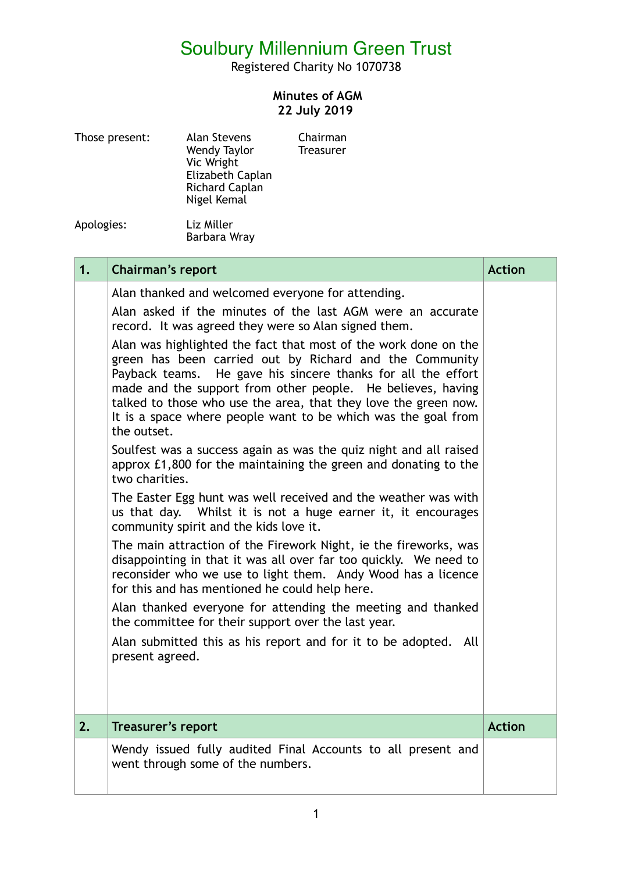## Soulbury Millennium Green Trust

Registered Charity No 1070738

## **Minutes of AGM 22 July 2019**

| Those present: | <b>Alan Stevens</b><br>Wendy Taylor<br>Vic Wright<br>Elizabeth Caplan<br>Richard Caplan<br>Nigel Kemal | Chairman<br><b>Treasurer</b> |  |
|----------------|--------------------------------------------------------------------------------------------------------|------------------------------|--|
| Apologies:     | Liz Miller                                                                                             |                              |  |

Barbara Wray

| 1. | Chairman's report                                                                                                                                                                                                                                                                                                                                                                                                                                                                                                                                                                                                                                                                                                                                                                                                                                                                                                                                                                                                                                                          | <b>Action</b> |
|----|----------------------------------------------------------------------------------------------------------------------------------------------------------------------------------------------------------------------------------------------------------------------------------------------------------------------------------------------------------------------------------------------------------------------------------------------------------------------------------------------------------------------------------------------------------------------------------------------------------------------------------------------------------------------------------------------------------------------------------------------------------------------------------------------------------------------------------------------------------------------------------------------------------------------------------------------------------------------------------------------------------------------------------------------------------------------------|---------------|
|    | Alan thanked and welcomed everyone for attending.<br>Alan asked if the minutes of the last AGM were an accurate<br>record. It was agreed they were so Alan signed them.<br>Alan was highlighted the fact that most of the work done on the<br>green has been carried out by Richard and the Community<br>He gave his sincere thanks for all the effort<br>Payback teams.<br>made and the support from other people. He believes, having<br>talked to those who use the area, that they love the green now.<br>It is a space where people want to be which was the goal from<br>the outset.<br>Soulfest was a success again as was the quiz night and all raised<br>approx £1,800 for the maintaining the green and donating to the<br>two charities.<br>The Easter Egg hunt was well received and the weather was with<br>us that day. Whilst it is not a huge earner it, it encourages<br>community spirit and the kids love it.<br>The main attraction of the Firework Night, ie the fireworks, was<br>disappointing in that it was all over far too quickly. We need to |               |
|    | reconsider who we use to light them. Andy Wood has a licence<br>for this and has mentioned he could help here.<br>Alan thanked everyone for attending the meeting and thanked<br>the committee for their support over the last year.<br>Alan submitted this as his report and for it to be adopted. All<br>present agreed.                                                                                                                                                                                                                                                                                                                                                                                                                                                                                                                                                                                                                                                                                                                                                 |               |
| 2. | <b>Treasurer's report</b>                                                                                                                                                                                                                                                                                                                                                                                                                                                                                                                                                                                                                                                                                                                                                                                                                                                                                                                                                                                                                                                  | <b>Action</b> |
|    | Wendy issued fully audited Final Accounts to all present and<br>went through some of the numbers.                                                                                                                                                                                                                                                                                                                                                                                                                                                                                                                                                                                                                                                                                                                                                                                                                                                                                                                                                                          |               |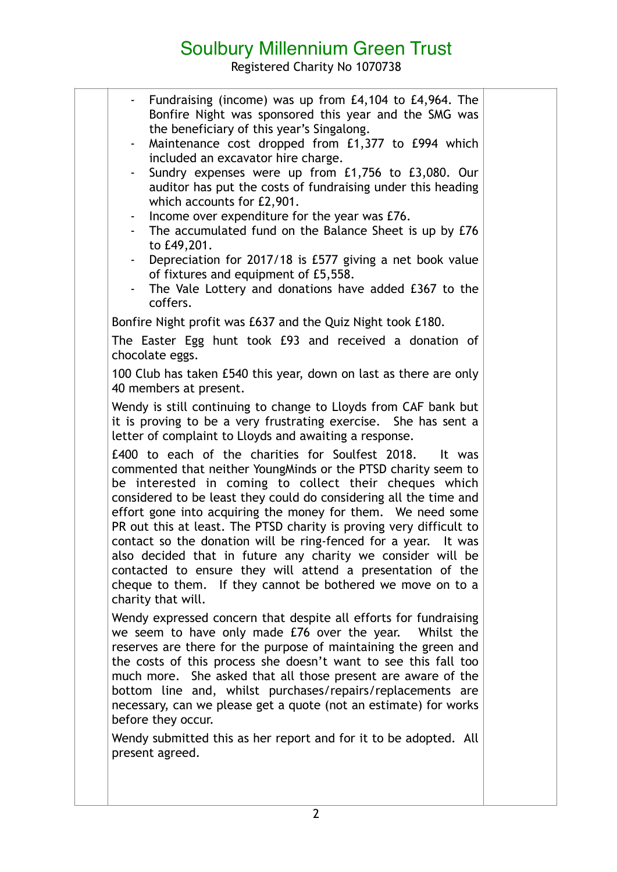## Soulbury Millennium Green Trust

Registered Charity No 1070738

| $\sim$<br>$\sim$<br>to £49,201.<br>$\sim$<br>$\sim$<br>coffers. | - Fundraising (income) was up from £4,104 to £4,964. The<br>Bonfire Night was sponsored this year and the SMG was<br>the beneficiary of this year's Singalong.<br>Maintenance cost dropped from £1,377 to £994 which<br>included an excavator hire charge.<br>Sundry expenses were up from £1,756 to £3,080. Our<br>auditor has put the costs of fundraising under this heading<br>which accounts for £2,901.<br>Income over expenditure for the year was £76.<br>The accumulated fund on the Balance Sheet is up by £76<br>Depreciation for 2017/18 is £577 giving a net book value<br>of fixtures and equipment of £5,558.<br>The Vale Lottery and donations have added £367 to the |  |
|-----------------------------------------------------------------|---------------------------------------------------------------------------------------------------------------------------------------------------------------------------------------------------------------------------------------------------------------------------------------------------------------------------------------------------------------------------------------------------------------------------------------------------------------------------------------------------------------------------------------------------------------------------------------------------------------------------------------------------------------------------------------|--|
|                                                                 | Bonfire Night profit was £637 and the Quiz Night took £180.<br>The Easter Egg hunt took £93 and received a donation of                                                                                                                                                                                                                                                                                                                                                                                                                                                                                                                                                                |  |
| chocolate eggs.<br>40 members at present.                       | 100 Club has taken £540 this year, down on last as there are only                                                                                                                                                                                                                                                                                                                                                                                                                                                                                                                                                                                                                     |  |
|                                                                 | Wendy is still continuing to change to Lloyds from CAF bank but<br>it is proving to be a very frustrating exercise. She has sent a<br>letter of complaint to Lloyds and awaiting a response.                                                                                                                                                                                                                                                                                                                                                                                                                                                                                          |  |
| charity that will.                                              | £400 to each of the charities for Soulfest 2018. It was<br>commented that neither YoungMinds or the PTSD charity seem to<br>be interested in coming to collect their cheques which<br>considered to be least they could do considering all the time and<br>effort gone into acquiring the money for them. We need some<br>PR out this at least. The PTSD charity is proving very difficult to<br>contact so the donation will be ring-fenced for a year. It was<br>also decided that in future any charity we consider will be<br>contacted to ensure they will attend a presentation of the<br>cheque to them. If they cannot be bothered we move on to a                            |  |
| before they occur.                                              | Wendy expressed concern that despite all efforts for fundraising<br>we seem to have only made £76 over the year. Whilst the<br>reserves are there for the purpose of maintaining the green and<br>the costs of this process she doesn't want to see this fall too<br>much more. She asked that all those present are aware of the<br>bottom line and, whilst purchases/repairs/replacements are<br>necessary, can we please get a quote (not an estimate) for works                                                                                                                                                                                                                   |  |
| present agreed.                                                 | Wendy submitted this as her report and for it to be adopted. All                                                                                                                                                                                                                                                                                                                                                                                                                                                                                                                                                                                                                      |  |